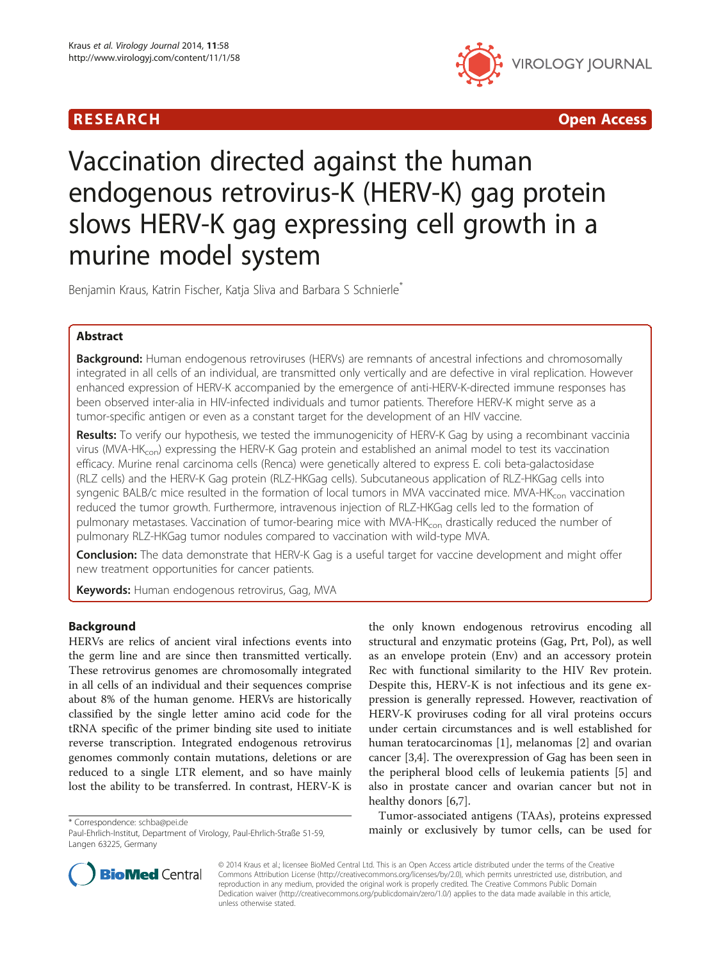# R E S EAR CH Open Access



# Vaccination directed against the human endogenous retrovirus-K (HERV-K) gag protein slows HERV-K gag expressing cell growth in a murine model system

Benjamin Kraus, Katrin Fischer, Katja Sliva and Barbara S Schnierle<sup>\*</sup>

# Abstract

Background: Human endogenous retroviruses (HERVs) are remnants of ancestral infections and chromosomally integrated in all cells of an individual, are transmitted only vertically and are defective in viral replication. However enhanced expression of HERV-K accompanied by the emergence of anti-HERV-K-directed immune responses has been observed inter-alia in HIV-infected individuals and tumor patients. Therefore HERV-K might serve as a tumor-specific antigen or even as a constant target for the development of an HIV vaccine.

Results: To verify our hypothesis, we tested the immunogenicity of HERV-K Gag by using a recombinant vaccinia virus (MVA-HK<sub>con</sub>) expressing the HERV-K Gag protein and established an animal model to test its vaccination efficacy. Murine renal carcinoma cells (Renca) were genetically altered to express E. coli beta-galactosidase (RLZ cells) and the HERV-K Gag protein (RLZ-HKGag cells). Subcutaneous application of RLZ-HKGag cells into syngenic BALB/c mice resulted in the formation of local tumors in MVA vaccinated mice. MVA-HK<sub>con</sub> vaccination reduced the tumor growth. Furthermore, intravenous injection of RLZ-HKGag cells led to the formation of pulmonary metastases. Vaccination of tumor-bearing mice with MVA-HK<sub>con</sub> drastically reduced the number of pulmonary RLZ-HKGag tumor nodules compared to vaccination with wild-type MVA.

**Conclusion:** The data demonstrate that HERV-K Gag is a useful target for vaccine development and might offer new treatment opportunities for cancer patients.

Keywords: Human endogenous retrovirus, Gag, MVA

## Background

HERVs are relics of ancient viral infections events into the germ line and are since then transmitted vertically. These retrovirus genomes are chromosomally integrated in all cells of an individual and their sequences comprise about 8% of the human genome. HERVs are historically classified by the single letter amino acid code for the tRNA specific of the primer binding site used to initiate reverse transcription. Integrated endogenous retrovirus genomes commonly contain mutations, deletions or are reduced to a single LTR element, and so have mainly lost the ability to be transferred. In contrast, HERV-K is

the only known endogenous retrovirus encoding all structural and enzymatic proteins (Gag, Prt, Pol), as well as an envelope protein (Env) and an accessory protein Rec with functional similarity to the HIV Rev protein. Despite this, HERV-K is not infectious and its gene expression is generally repressed. However, reactivation of HERV-K proviruses coding for all viral proteins occurs under certain circumstances and is well established for human teratocarcinomas [\[1\]](#page-5-0), melanomas [\[2](#page-5-0)] and ovarian cancer [[3](#page-5-0),[4\]](#page-5-0). The overexpression of Gag has been seen in the peripheral blood cells of leukemia patients [\[5\]](#page-5-0) and also in prostate cancer and ovarian cancer but not in healthy donors [[6,7\]](#page-5-0).

Tumor-associated antigens (TAAs), proteins expressed \* Correspondence: [schba@pei.de](mailto:schba@pei.de)<br>Paul-Ehrlich-Institut, Department of Virology, Paul-Ehrlich-Straße 51-59, **mainly or exclusively by tumor cells, can be used for** 



© 2014 Kraus et al.; licensee BioMed Central Ltd. This is an Open Access article distributed under the terms of the Creative Commons Attribution License [\(http://creativecommons.org/licenses/by/2.0\)](http://creativecommons.org/licenses/by/2.0), which permits unrestricted use, distribution, and reproduction in any medium, provided the original work is properly credited. The Creative Commons Public Domain Dedication waiver [\(http://creativecommons.org/publicdomain/zero/1.0/](http://creativecommons.org/publicdomain/zero/1.0/)) applies to the data made available in this article, unless otherwise stated.

Paul-Ehrlich-Institut, Department of Virology, Paul-Ehrlich-Straße 51-59, Langen 63225, Germany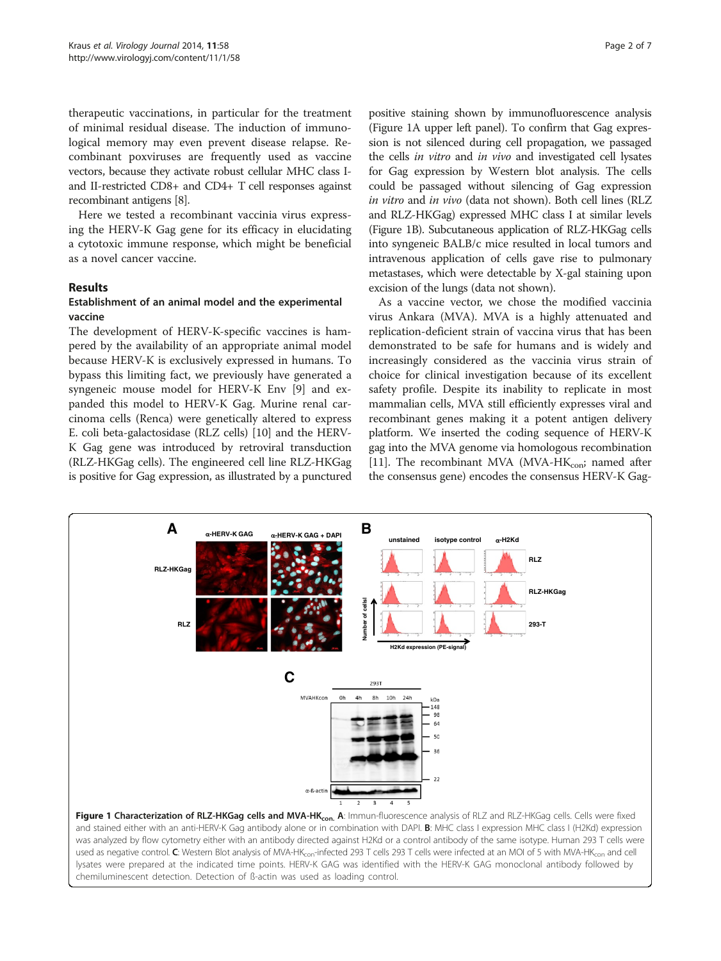<span id="page-1-0"></span>therapeutic vaccinations, in particular for the treatment of minimal residual disease. The induction of immunological memory may even prevent disease relapse. Recombinant poxviruses are frequently used as vaccine vectors, because they activate robust cellular MHC class Iand II-restricted CD8+ and CD4+ T cell responses against recombinant antigens [\[8\]](#page-5-0).

Here we tested a recombinant vaccinia virus expressing the HERV-K Gag gene for its efficacy in elucidating a cytotoxic immune response, which might be beneficial as a novel cancer vaccine.

#### Results

## Establishment of an animal model and the experimental vaccine

The development of HERV-K-specific vaccines is hampered by the availability of an appropriate animal model because HERV-K is exclusively expressed in humans. To bypass this limiting fact, we previously have generated a syngeneic mouse model for HERV-K Env [[9](#page-5-0)] and expanded this model to HERV-K Gag. Murine renal carcinoma cells (Renca) were genetically altered to express E. coli beta-galactosidase (RLZ cells) [[10](#page-5-0)] and the HERV-K Gag gene was introduced by retroviral transduction (RLZ-HKGag cells). The engineered cell line RLZ-HKGag is positive for Gag expression, as illustrated by a punctured

positive staining shown by immunofluorescence analysis (Figure 1A upper left panel). To confirm that Gag expression is not silenced during cell propagation, we passaged the cells in vitro and in vivo and investigated cell lysates for Gag expression by Western blot analysis. The cells could be passaged without silencing of Gag expression in vitro and in vivo (data not shown). Both cell lines (RLZ and RLZ-HKGag) expressed MHC class I at similar levels (Figure 1B). Subcutaneous application of RLZ-HKGag cells into syngeneic BALB/c mice resulted in local tumors and intravenous application of cells gave rise to pulmonary metastases, which were detectable by X-gal staining upon excision of the lungs (data not shown).

As a vaccine vector, we chose the modified vaccinia virus Ankara (MVA). MVA is a highly attenuated and replication-deficient strain of vaccina virus that has been demonstrated to be safe for humans and is widely and increasingly considered as the vaccinia virus strain of choice for clinical investigation because of its excellent safety profile. Despite its inability to replicate in most mammalian cells, MVA still efficiently expresses viral and recombinant genes making it a potent antigen delivery platform. We inserted the coding sequence of HERV-K gag into the MVA genome via homologous recombination [[11](#page-5-0)]. The recombinant MVA (MVA-H $K_{\text{con}}$ ; named after the consensus gene) encodes the consensus HERV-K Gag-



chemiluminescent detection. Detection of ß-actin was used as loading control.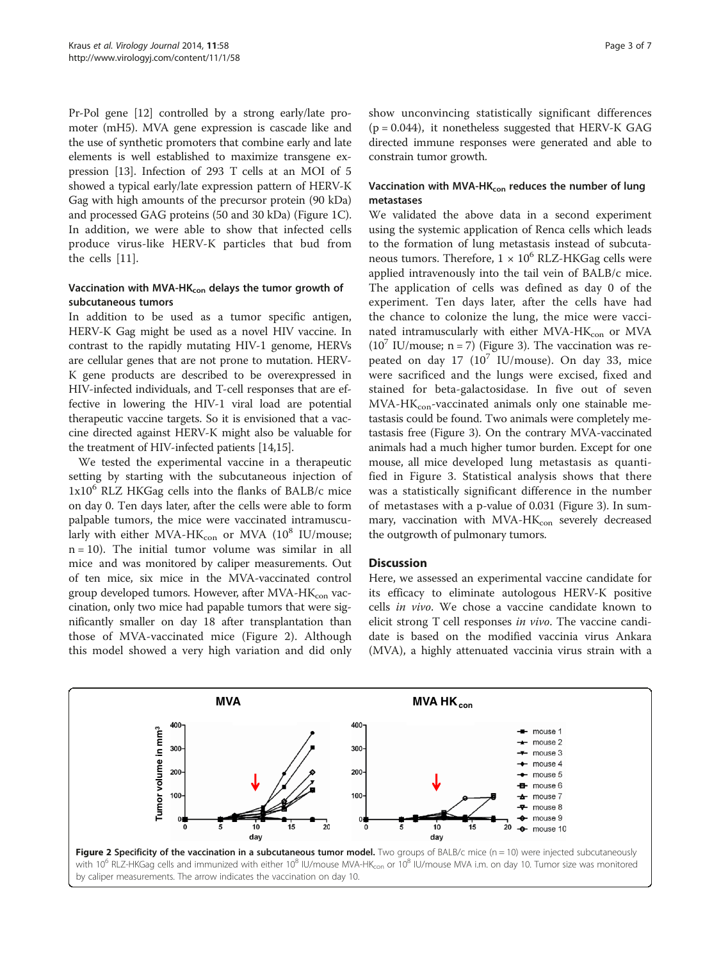Pr-Pol gene [[12](#page-5-0)] controlled by a strong early/late promoter (mH5). MVA gene expression is cascade like and the use of synthetic promoters that combine early and late elements is well established to maximize transgene expression [[13](#page-5-0)]. Infection of 293 T cells at an MOI of 5 showed a typical early/late expression pattern of HERV-K Gag with high amounts of the precursor protein (90 kDa) and processed GAG proteins (50 and 30 kDa) (Figure [1C](#page-1-0)). In addition, we were able to show that infected cells produce virus-like HERV-K particles that bud from the cells [\[11](#page-5-0)].

## Vaccination with MVA-HK<sub>con</sub> delays the tumor growth of subcutaneous tumors

In addition to be used as a tumor specific antigen, HERV-K Gag might be used as a novel HIV vaccine. In contrast to the rapidly mutating HIV-1 genome, HERVs are cellular genes that are not prone to mutation. HERV-K gene products are described to be overexpressed in HIV-infected individuals, and T-cell responses that are effective in lowering the HIV-1 viral load are potential therapeutic vaccine targets. So it is envisioned that a vaccine directed against HERV-K might also be valuable for the treatment of HIV-infected patients [\[14,15\]](#page-5-0).

We tested the experimental vaccine in a therapeutic setting by starting with the subcutaneous injection of  $1x10^6$  RLZ HKGag cells into the flanks of BALB/c mice on day 0. Ten days later, after the cells were able to form palpable tumors, the mice were vaccinated intramuscularly with either MVA-H $K_{con}$  or MVA (10<sup>8</sup> IU/mouse;  $n = 10$ ). The initial tumor volume was similar in all mice and was monitored by caliper measurements. Out of ten mice, six mice in the MVA-vaccinated control group developed tumors. However, after MVA-HK<sub>con</sub> vaccination, only two mice had papable tumors that were significantly smaller on day 18 after transplantation than those of MVA-vaccinated mice (Figure 2). Although this model showed a very high variation and did only show unconvincing statistically significant differences  $(p = 0.044)$ , it nonetheless suggested that HERV-K GAG directed immune responses were generated and able to constrain tumor growth.

# Vaccination with MVA-HK<sub>con</sub> reduces the number of lung metastases

We validated the above data in a second experiment using the systemic application of Renca cells which leads to the formation of lung metastasis instead of subcutaneous tumors. Therefore,  $1 \times 10^6$  RLZ-HKGag cells were applied intravenously into the tail vein of BALB/c mice. The application of cells was defined as day 0 of the experiment. Ten days later, after the cells have had the chance to colonize the lung, the mice were vaccinated intramuscularly with either MVA-HK<sub>con</sub> or MVA  $(10^7 \text{ IU/mouse}; n = 7)$  (Figure [3](#page-3-0)). The vaccination was repeated on day 17  $(10^7 \text{ IU/mouse})$ . On day 33, mice were sacrificed and the lungs were excised, fixed and stained for beta-galactosidase. In five out of seven MVA-HK<sub>con</sub>-vaccinated animals only one stainable metastasis could be found. Two animals were completely metastasis free (Figure [3](#page-3-0)). On the contrary MVA-vaccinated animals had a much higher tumor burden. Except for one mouse, all mice developed lung metastasis as quantified in Figure [3.](#page-3-0) Statistical analysis shows that there was a statistically significant difference in the number of metastases with a p-value of 0.031 (Figure [3](#page-3-0)). In summary, vaccination with  $MVA-HK<sub>con</sub>$  severely decreased the outgrowth of pulmonary tumors.

## **Discussion**

Here, we assessed an experimental vaccine candidate for its efficacy to eliminate autologous HERV-K positive cells in vivo. We chose a vaccine candidate known to elicit strong T cell responses in vivo. The vaccine candidate is based on the modified vaccinia virus Ankara (MVA), a highly attenuated vaccinia virus strain with a

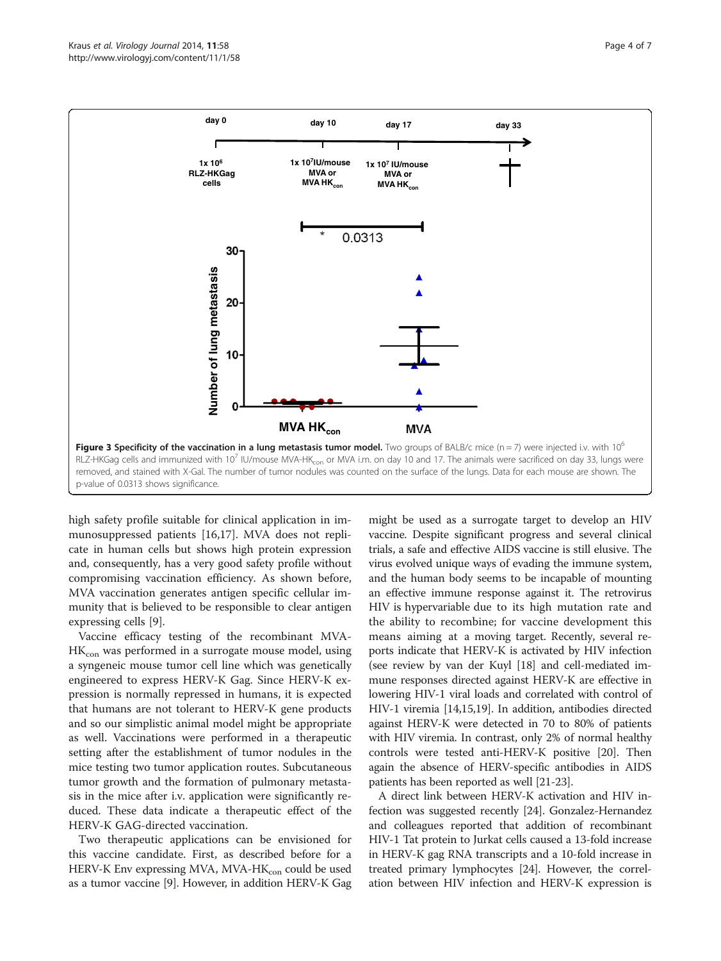<span id="page-3-0"></span>

high safety profile suitable for clinical application in immunosuppressed patients [[16](#page-5-0),[17](#page-5-0)]. MVA does not replicate in human cells but shows high protein expression and, consequently, has a very good safety profile without compromising vaccination efficiency. As shown before, MVA vaccination generates antigen specific cellular immunity that is believed to be responsible to clear antigen expressing cells [\[9](#page-5-0)].

Vaccine efficacy testing of the recombinant MVA-HK<sub>con</sub> was performed in a surrogate mouse model, using a syngeneic mouse tumor cell line which was genetically engineered to express HERV-K Gag. Since HERV-K expression is normally repressed in humans, it is expected that humans are not tolerant to HERV-K gene products and so our simplistic animal model might be appropriate as well. Vaccinations were performed in a therapeutic setting after the establishment of tumor nodules in the mice testing two tumor application routes. Subcutaneous tumor growth and the formation of pulmonary metastasis in the mice after i.v. application were significantly reduced. These data indicate a therapeutic effect of the HERV-K GAG-directed vaccination.

Two therapeutic applications can be envisioned for this vaccine candidate. First, as described before for a HERV-K Env expressing MVA, MVA- $HK_{con}$  could be used as a tumor vaccine [\[9\]](#page-5-0). However, in addition HERV-K Gag

might be used as a surrogate target to develop an HIV vaccine. Despite significant progress and several clinical trials, a safe and effective AIDS vaccine is still elusive. The virus evolved unique ways of evading the immune system, and the human body seems to be incapable of mounting an effective immune response against it. The retrovirus HIV is hypervariable due to its high mutation rate and the ability to recombine; for vaccine development this means aiming at a moving target. Recently, several reports indicate that HERV-K is activated by HIV infection (see review by van der Kuyl [\[18\]](#page-5-0) and cell-mediated immune responses directed against HERV-K are effective in lowering HIV-1 viral loads and correlated with control of HIV-1 viremia [[14,15,19\]](#page-5-0). In addition, antibodies directed against HERV-K were detected in 70 to 80% of patients with HIV viremia. In contrast, only 2% of normal healthy controls were tested anti-HERV-K positive [[20](#page-5-0)]. Then again the absence of HERV-specific antibodies in AIDS patients has been reported as well [[21](#page-5-0)-[23\]](#page-5-0).

A direct link between HERV-K activation and HIV infection was suggested recently [\[24](#page-5-0)]. Gonzalez-Hernandez and colleagues reported that addition of recombinant HIV-1 Tat protein to Jurkat cells caused a 13-fold increase in HERV-K gag RNA transcripts and a 10-fold increase in treated primary lymphocytes [\[24\]](#page-5-0). However, the correlation between HIV infection and HERV-K expression is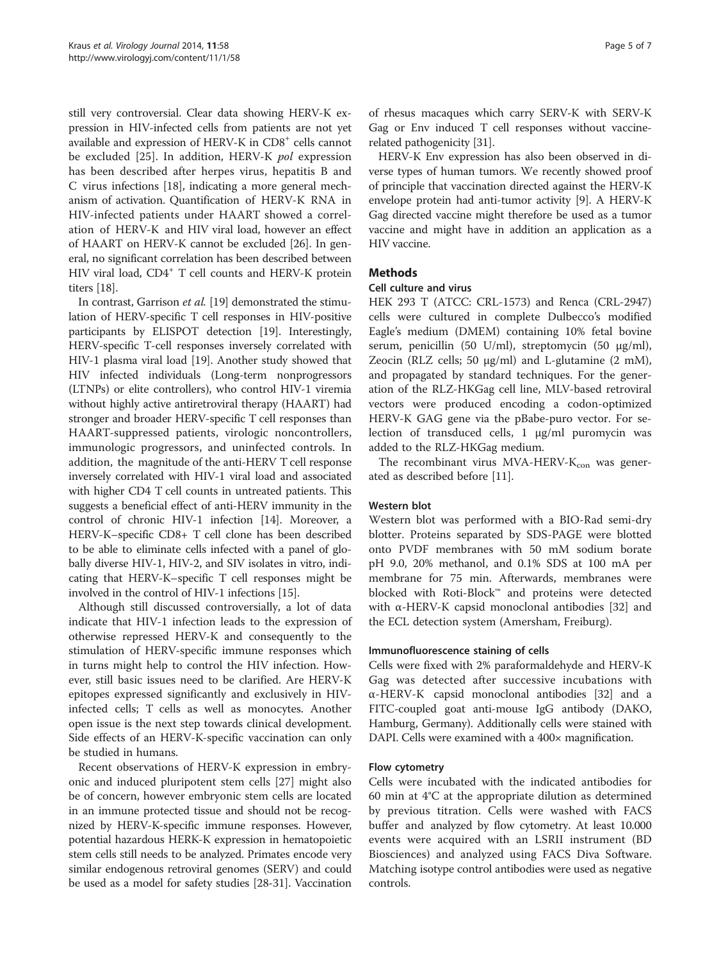still very controversial. Clear data showing HERV-K expression in HIV-infected cells from patients are not yet available and expression of HERV-K in CD8<sup>+</sup> cells cannot be excluded [\[25](#page-5-0)]. In addition, HERV-K pol expression has been described after herpes virus, hepatitis B and C virus infections [\[18\]](#page-5-0), indicating a more general mechanism of activation. Quantification of HERV-K RNA in HIV-infected patients under HAART showed a correlation of HERV-K and HIV viral load, however an effect of HAART on HERV-K cannot be excluded [[26](#page-5-0)]. In general, no significant correlation has been described between HIV viral load, CD4<sup>+</sup> T cell counts and HERV-K protein titers [[18](#page-5-0)].

In contrast, Garrison et al. [\[19\]](#page-5-0) demonstrated the stimulation of HERV-specific T cell responses in HIV-positive participants by ELISPOT detection [\[19](#page-5-0)]. Interestingly, HERV-specific T-cell responses inversely correlated with HIV-1 plasma viral load [\[19\]](#page-5-0). Another study showed that HIV infected individuals (Long-term nonprogressors (LTNPs) or elite controllers), who control HIV-1 viremia without highly active antiretroviral therapy (HAART) had stronger and broader HERV-specific T cell responses than HAART-suppressed patients, virologic noncontrollers, immunologic progressors, and uninfected controls. In addition, the magnitude of the anti-HERV T cell response inversely correlated with HIV-1 viral load and associated with higher CD4 T cell counts in untreated patients. This suggests a beneficial effect of anti-HERV immunity in the control of chronic HIV-1 infection [\[14\]](#page-5-0). Moreover, a HERV-K–specific CD8+ T cell clone has been described to be able to eliminate cells infected with a panel of globally diverse HIV-1, HIV-2, and SIV isolates in vitro, indicating that HERV-K–specific T cell responses might be involved in the control of HIV-1 infections [[15](#page-5-0)].

Although still discussed controversially, a lot of data indicate that HIV-1 infection leads to the expression of otherwise repressed HERV-K and consequently to the stimulation of HERV-specific immune responses which in turns might help to control the HIV infection. However, still basic issues need to be clarified. Are HERV-K epitopes expressed significantly and exclusively in HIVinfected cells; T cells as well as monocytes. Another open issue is the next step towards clinical development. Side effects of an HERV-K-specific vaccination can only be studied in humans.

Recent observations of HERV-K expression in embryonic and induced pluripotent stem cells [\[27](#page-6-0)] might also be of concern, however embryonic stem cells are located in an immune protected tissue and should not be recognized by HERV-K-specific immune responses. However, potential hazardous HERK-K expression in hematopoietic stem cells still needs to be analyzed. Primates encode very similar endogenous retroviral genomes (SERV) and could be used as a model for safety studies [\[28-31](#page-6-0)]. Vaccination

of rhesus macaques which carry SERV-K with SERV-K Gag or Env induced T cell responses without vaccinerelated pathogenicity [[31\]](#page-6-0).

HERV-K Env expression has also been observed in diverse types of human tumors. We recently showed proof of principle that vaccination directed against the HERV-K envelope protein had anti-tumor activity [[9](#page-5-0)]. A HERV-K Gag directed vaccine might therefore be used as a tumor vaccine and might have in addition an application as a HIV vaccine.

# **Methods**

#### Cell culture and virus

HEK 293 T (ATCC: CRL-1573) and Renca (CRL-2947) cells were cultured in complete Dulbecco's modified Eagle's medium (DMEM) containing 10% fetal bovine serum, penicillin (50 U/ml), streptomycin (50 μg/ml), Zeocin (RLZ cells; 50 μg/ml) and L-glutamine (2 mM), and propagated by standard techniques. For the generation of the RLZ-HKGag cell line, MLV-based retroviral vectors were produced encoding a codon-optimized HERV-K GAG gene via the pBabe-puro vector. For selection of transduced cells, 1 μg/ml puromycin was added to the RLZ-HKGag medium.

The recombinant virus MVA-HERV- $K_{con}$  was generated as described before [\[11](#page-5-0)].

#### Western blot

Western blot was performed with a BIO-Rad semi-dry blotter. Proteins separated by SDS-PAGE were blotted onto PVDF membranes with 50 mM sodium borate pH 9.0, 20% methanol, and 0.1% SDS at 100 mA per membrane for 75 min. Afterwards, membranes were blocked with Roti-Block™ and proteins were detected with α-HERV-K capsid monoclonal antibodies [\[32](#page-6-0)] and the ECL detection system (Amersham, Freiburg).

#### Immunofluorescence staining of cells

Cells were fixed with 2% paraformaldehyde and HERV-K Gag was detected after successive incubations with α-HERV-K capsid monoclonal antibodies [\[32\]](#page-6-0) and a FITC-coupled goat anti-mouse IgG antibody (DAKO, Hamburg, Germany). Additionally cells were stained with DAPI. Cells were examined with a 400 $\times$  magnification.

#### Flow cytometry

Cells were incubated with the indicated antibodies for 60 min at 4°C at the appropriate dilution as determined by previous titration. Cells were washed with FACS buffer and analyzed by flow cytometry. At least 10.000 events were acquired with an LSRII instrument (BD Biosciences) and analyzed using FACS Diva Software. Matching isotype control antibodies were used as negative controls.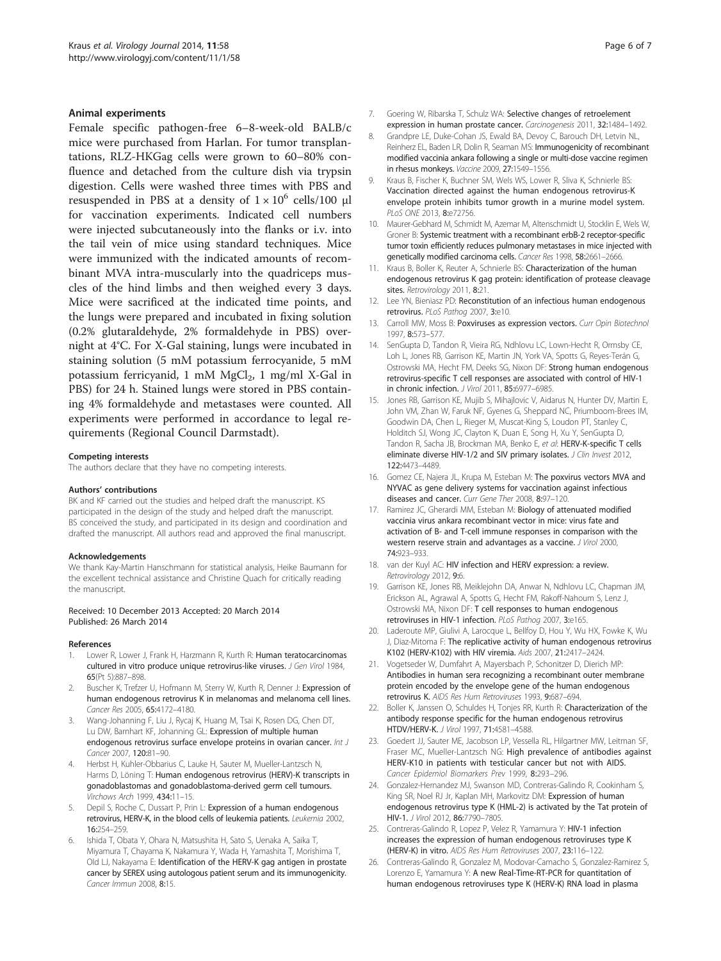#### <span id="page-5-0"></span>Animal experiments

Female specific pathogen-free 6–8-week-old BALB/c mice were purchased from Harlan. For tumor transplantations, RLZ-HKGag cells were grown to 60–80% confluence and detached from the culture dish via trypsin digestion. Cells were washed three times with PBS and resuspended in PBS at a density of  $1 \times 10^6$  cells/100 µl for vaccination experiments. Indicated cell numbers were injected subcutaneously into the flanks or i.v. into the tail vein of mice using standard techniques. Mice were immunized with the indicated amounts of recombinant MVA intra-muscularly into the quadriceps muscles of the hind limbs and then weighed every 3 days. Mice were sacrificed at the indicated time points, and the lungs were prepared and incubated in fixing solution (0.2% glutaraldehyde, 2% formaldehyde in PBS) overnight at 4°C. For X-Gal staining, lungs were incubated in staining solution (5 mM potassium ferrocyanide, 5 mM potassium ferricyanid, 1 mM  $MgCl<sub>2</sub>$ , 1 mg/ml X-Gal in PBS) for 24 h. Stained lungs were stored in PBS containing 4% formaldehyde and metastases were counted. All experiments were performed in accordance to legal requirements (Regional Council Darmstadt).

#### Competing interests

The authors declare that they have no competing interests.

#### Authors' contributions

BK and KF carried out the studies and helped draft the manuscript. KS participated in the design of the study and helped draft the manuscript. BS conceived the study, and participated in its design and coordination and drafted the manuscript. All authors read and approved the final manuscript.

#### Acknowledgements

We thank Kay-Martin Hanschmann for statistical analysis, Heike Baumann for the excellent technical assistance and Christine Quach for critically reading the manuscript.

#### Received: 10 December 2013 Accepted: 20 March 2014 Published: 26 March 2014

#### References

- 1. Lower R, Lower J, Frank H, Harzmann R, Kurth R: Human teratocarcinomas cultured in vitro produce unique retrovirus-like viruses. J Gen Virol 1984, 65(Pt 5):887–898.
- 2. Buscher K, Trefzer U, Hofmann M, Sterry W, Kurth R, Denner J: Expression of human endogenous retrovirus K in melanomas and melanoma cell lines. Cancer Res 2005, 65:4172–4180.
- 3. Wang-Johanning F, Liu J, Rycaj K, Huang M, Tsai K, Rosen DG, Chen DT, Lu DW, Barnhart KF, Johanning GL: Expression of multiple human endogenous retrovirus surface envelope proteins in ovarian cancer. Int J Cancer 2007, 120:81–90.
- 4. Herbst H, Kuhler-Obbarius C, Lauke H, Sauter M, Mueller-Lantzsch N, Harms D, Löning T: Human endogenous retrovirus (HERV)-K transcripts in gonadoblastomas and gonadoblastoma-derived germ cell tumours. Virchows Arch 1999, 434:11–15.
- 5. Depil S, Roche C, Dussart P, Prin L: Expression of a human endogenous retrovirus, HERV-K, in the blood cells of leukemia patients. Leukemia 2002, 16:254–259.
- Ishida T, Obata Y, Ohara N, Matsushita H, Sato S, Uenaka A, Saika T, Miyamura T, Chayama K, Nakamura Y, Wada H, Yamashita T, Morishima T, Old LJ, Nakayama E: Identification of the HERV-K gag antigen in prostate cancer by SEREX using autologous patient serum and its immunogenicity. Cancer Immun 2008, 8:15.
- 7. Goering W, Ribarska T, Schulz WA: Selective changes of retroelement expression in human prostate cancer. Carcinogenesis 2011, 32:1484–1492.
- 8. Grandpre LE, Duke-Cohan JS, Ewald BA, Devoy C, Barouch DH, Letvin NL, Reinherz EL, Baden LR, Dolin R, Seaman MS: Immunogenicity of recombinant modified vaccinia ankara following a single or multi-dose vaccine regimen in rhesus monkeys. Vaccine 2009, 27:1549–1556.
- 9. Kraus B, Fischer K, Buchner SM, Wels WS, Lower R, Sliva K, Schnierle BS: Vaccination directed against the human endogenous retrovirus-K envelope protein inhibits tumor growth in a murine model system. PLoS ONE 2013, 8:e72756.
- 10. Maurer-Gebhard M, Schmidt M, Azemar M, Altenschmidt U, Stocklin E, Wels W, Groner B: Systemic treatment with a recombinant erbB-2 receptor-specific tumor toxin efficiently reduces pulmonary metastases in mice injected with genetically modified carcinoma cells. Cancer Res 1998, 58:2661–2666.
- 11. Kraus B, Boller K, Reuter A, Schnierle BS: Characterization of the human endogenous retrovirus K gag protein: identification of protease cleavage sites. Retrovirology 2011, 8:21.
- 12. Lee YN, Bieniasz PD: Reconstitution of an infectious human endogenous retrovirus. PLoS Pathog 2007, 3:e10.
- Carroll MW, Moss B: Poxviruses as expression vectors. Curr Opin Biotechnol 1997, 8:573–577.
- 14. SenGupta D, Tandon R, Vieira RG, Ndhlovu LC, Lown-Hecht R, Ormsby CE, Loh L, Jones RB, Garrison KE, Martin JN, York VA, Spotts G, Reyes-Terán G, Ostrowski MA, Hecht FM, Deeks SG, Nixon DF: Strong human endogenous retrovirus-specific T cell responses are associated with control of HIV-1 in chronic infection. J Virol 2011, 85:6977–6985.
- 15. Jones RB, Garrison KE, Mujib S, Mihajlovic V, Aidarus N, Hunter DV, Martin E, John VM, Zhan W, Faruk NF, Gyenes G, Sheppard NC, Priumboom-Brees IM, Goodwin DA, Chen L, Rieger M, Muscat-King S, Loudon PT, Stanley C, Holditch SJ, Wong JC, Clayton K, Duan E, Song H, Xu Y, SenGupta D, Tandon R, Sacha JB, Brockman MA, Benko E, et al: HERV-K-specific T cells eliminate diverse HIV-1/2 and SIV primary isolates. J Clin Invest 2012, 122:4473–4489.
- 16. Gomez CE, Najera JL, Krupa M, Esteban M: The poxvirus vectors MVA and NYVAC as gene delivery systems for vaccination against infectious diseases and cancer. Curr Gene Ther 2008, 8:97–120.
- 17. Ramirez JC, Gherardi MM, Esteban M: Biology of attenuated modified vaccinia virus ankara recombinant vector in mice: virus fate and activation of B- and T-cell immune responses in comparison with the western reserve strain and advantages as a vaccine. J Virol 2000, 74:923–933.
- 18. van der Kuyl AC: HIV infection and HERV expression: a review. Retrovirology 2012. 9:6
- 19. Garrison KE, Jones RB, Meiklejohn DA, Anwar N, Ndhlovu LC, Chapman JM, Erickson AL, Agrawal A, Spotts G, Hecht FM, Rakoff-Nahoum S, Lenz J, Ostrowski MA, Nixon DF: T cell responses to human endogenous retroviruses in HIV-1 infection. PLoS Pathog 2007, 3:e165.
- 20. Laderoute MP, Giulivi A, Larocque L, Bellfoy D, Hou Y, Wu HX, Fowke K, Wu J, Diaz-Mitoma F: The replicative activity of human endogenous retrovirus K102 (HERV-K102) with HIV viremia. Aids 2007, 21:2417–2424.
- 21. Vogetseder W, Dumfahrt A, Mayersbach P, Schonitzer D, Dierich MP: Antibodies in human sera recognizing a recombinant outer membrane protein encoded by the envelope gene of the human endogenous retrovirus K. AIDS Res Hum Retroviruses 1993, 9:687–694.
- 22. Boller K, Janssen O, Schuldes H, Tonjes RR, Kurth R: Characterization of the antibody response specific for the human endogenous retrovirus HTDV/HERV-K. J Virol 1997, 71:4581–4588.
- 23. Goedert JJ, Sauter ME, Jacobson LP, Vessella RL, Hilgartner MW, Leitman SF, Fraser MC, Mueller-Lantzsch NG: High prevalence of antibodies against HERV-K10 in patients with testicular cancer but not with AIDS. Cancer Epidemiol Biomarkers Prev 1999, 8:293–296.
- 24. Gonzalez-Hernandez MJ, Swanson MD, Contreras-Galindo R, Cookinham S, King SR, Noel RJ Jr, Kaplan MH, Markovitz DM: Expression of human endogenous retrovirus type K (HML-2) is activated by the Tat protein of HIV-1. J Virol 2012, 86:7790–7805.
- 25. Contreras-Galindo R, Lopez P, Velez R, Yamamura Y: HIV-1 infection increases the expression of human endogenous retroviruses type K (HERV-K) in vitro. AIDS Res Hum Retroviruses 2007, 23:116–122.
- 26. Contreras-Galindo R, Gonzalez M, Modovar-Camacho S, Gonzalez-Ramirez S, Lorenzo E, Yamamura Y: A new Real-Time-RT-PCR for quantitation of human endogenous retroviruses type K (HERV-K) RNA load in plasma